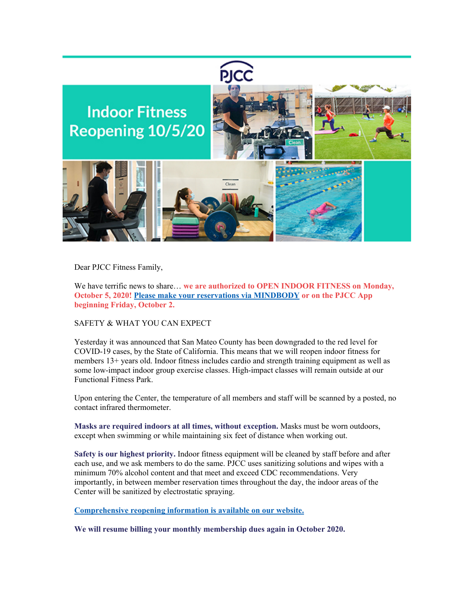

Dear PJCC Fitness Family,

We have terrific news to share… **we are authorized to OPEN INDOOR FITNESS on Monday, October 5, 2020! [Please make your reservations via MINDBODY](https://pjcc.acemlna.com/lt.php?s=c42fd1951155c949e7ef75aacbebeb55&i=345A729A3A3106) or on the PJCC App beginning Friday, October 2.** 

SAFETY & WHAT YOU CAN EXPECT

Yesterday it was announced that San Mateo County has been downgraded to the red level for COVID-19 cases, by the State of California. This means that we will reopen indoor fitness for members 13+ years old. Indoor fitness includes cardio and strength training equipment as well as some low-impact indoor group exercise classes. High-impact classes will remain outside at our Functional Fitness Park.

Upon entering the Center, the temperature of all members and staff will be scanned by a posted, no contact infrared thermometer.

**Masks are required indoors at all times, without exception.** Masks must be worn outdoors, except when swimming or while maintaining six feet of distance when working out.

**Safety is our highest priority.** Indoor fitness equipment will be cleaned by staff before and after each use, and we ask members to do the same. PJCC uses sanitizing solutions and wipes with a minimum 70% alcohol content and that meet and exceed CDC recommendations. Very importantly, in between member reservation times throughout the day, the indoor areas of the Center will be sanitized by electrostatic spraying.

**[Comprehensive reopening information is available on our website.](https://pjcc.acemlna.com/lt.php?s=c42fd1951155c949e7ef75aacbebeb55&i=345A729A3A3107)**

**We will resume billing your monthly membership dues again in October 2020.**